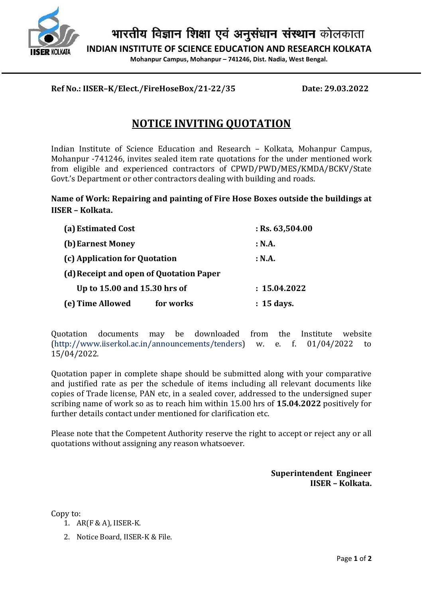

भारतीय विज्ञान शिक्षा एवं अनुसंधान संस्थान कोलकाता

INDIAN INSTITUTE OF SCIENCE EDUCATION AND RESEARCH KOLKATA

Mohanpur Campus, Mohanpur – 741246, Dist. Nadia, West Bengal.

## Ref No.: IISER–K/Elect./FireHoseBox/21-22/35 Date: 29.03.2022

## NOTICE INVITING QUOTATION

Indian Institute of Science Education and Research – Kolkata, Mohanpur Campus, Mohanpur -741246, invites sealed item rate quotations for the under mentioned work from eligible and experienced contractors of CPWD/PWD/MES/KMDA/BCKV/State Govt.'s Department or other contractors dealing with building and roads.

## Name of Work: Repairing and painting of Fire Hose Boxes outside the buildings at IISER – Kolkata.

| (a) Estimated Cost                      | $:$ Rs. 63,504.00 |
|-----------------------------------------|-------------------|
| (b) Earnest Money                       | : N.A.            |
| (c) Application for Quotation           | : N.A.            |
| (d) Receipt and open of Quotation Paper |                   |
| Up to 15.00 and 15.30 hrs of            | : 15.04.2022      |
| (e) Time Allowed<br>for works           | : 15 days.        |

Quotation documents may be downloaded from the Institute website (http://www.iiserkol.ac.in/announcements/tenders) w. e. f. 01/04/2022 to 15/04/2022.

Quotation paper in complete shape should be submitted along with your comparative and justified rate as per the schedule of items including all relevant documents like copies of Trade license, PAN etc, in a sealed cover, addressed to the undersigned super scribing name of work so as to reach him within 15.00 hrs of 15.04.2022 positively for further details contact under mentioned for clarification etc.

Please note that the Competent Authority reserve the right to accept or reject any or all quotations without assigning any reason whatsoever.

> Superintendent Engineer IISER – Kolkata.

Copy to:

- 1. AR(F & A), IISER-K.
- 2. Notice Board, IISER-K & File.